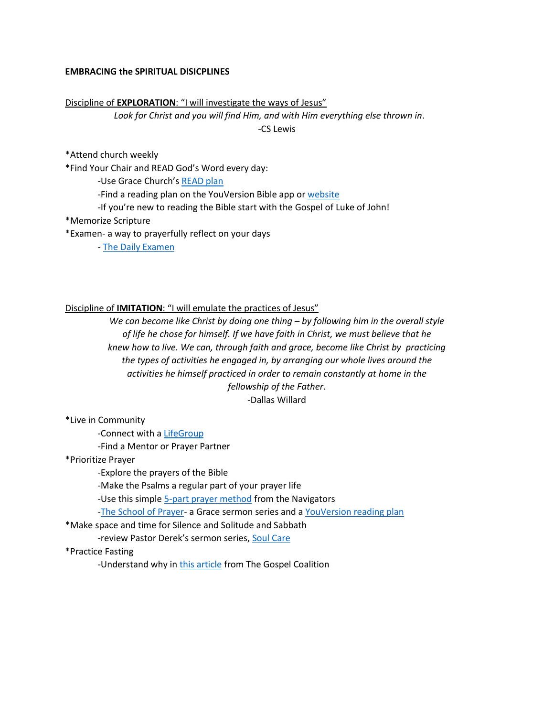### **EMBRACING the SPIRITUAL DISICPLINES**

#### Discipline of **EXPLORATION**: "I will investigate the ways of Jesus"

*Look for Christ and you will find Him, and with Him everything else thrown in*.

-CS Lewis

\*Attend church weekly

\*Find Your Chair and READ God's Word every day:

-Use Grace Church's [READ plan](http://www.whoisgrace.com/read)

-Find a reading plan on the YouVersion Bible app or [website](https://www.bible.com/)

-If you're new to reading the Bible start with the Gospel of Luke of John!

\*Memorize Scripture

\*Examen- a way to prayerfully reflect on your days

- [The Daily Examen](https://www.ignatianspirituality.com/ignatian-prayer/the-examen/)

### Discipline of **IMITATION**: "I will emulate the practices of Jesus"

*We can become like Christ by doing one thing – by following him in the overall style of life he chose for himself. If we have faith in Christ, we must believe that he knew how to live. We can, through faith and grace, become like Christ by practicing the types of activities he engaged in, by arranging our whole lives around the activities he himself practiced in order to remain constantly at home in the fellowship of the Father*. -Dallas Willard

\*Live in Community

-Connect with a [LifeGroup](http://www.whoisgrace.com/lifegroups)

-Find a Mentor or Prayer Partner

\*Prioritize Prayer

-Explore the prayers of the Bible

-Make the Psalms a regular part of your prayer life

-Use this simpl[e 5-part prayer method](https://www.navigators.org/wp-content/uploads/2017/08/navtool-prayer-hand.pdf) from the Navigators

[-The School of Prayer-](https://whoisgrace.com/sermon-archive/#series-sort_the-school-of-prayer) a Grace sermon series and [a YouVersion reading plan](https://my.bible.com/reading-plans/26452-the-school-of-prayer)

\*Make space and time for Silence and Solitude and Sabbath

-review Pastor Derek's sermon series, [Soul Care](https://whoisgrace.com/sermon-archive/#series-sort_soul-care)

\*Practice Fasting

-Understand why i[n this article](https://www.thegospelcoalition.org/article/fasting-not-spiritually-elite-hurting/) from The Gospel Coalition